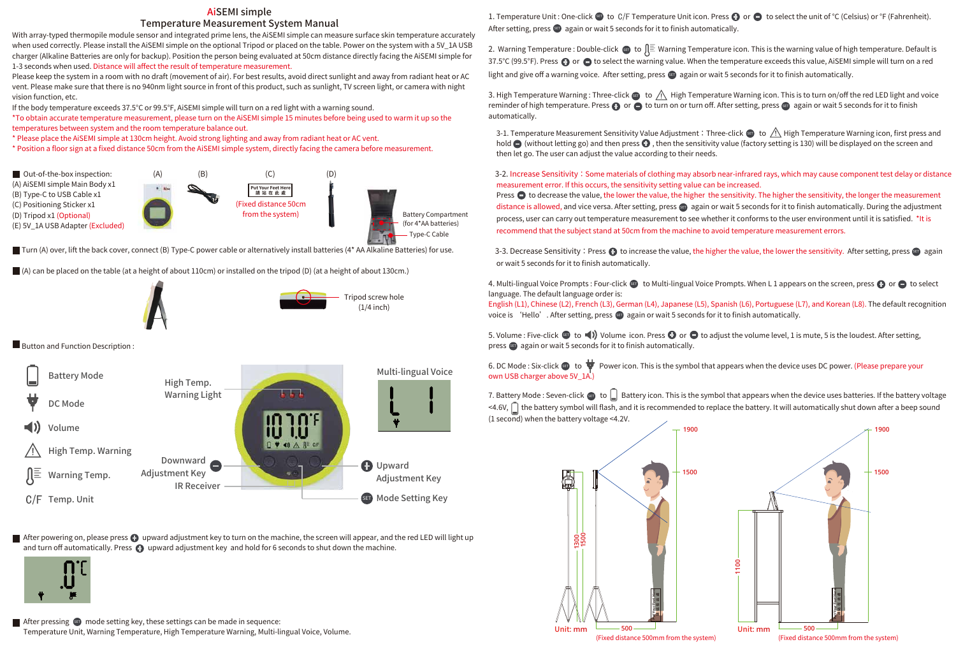1. Temperature Unit : One-click  $\bullet\bullet$  to  $C/F$  Temperature Unit icon. Press  $\bullet\bullet$  or  $\bullet\bullet$  to select the unit of °C (Celsius) or °F (Fahrenheit). After setting, press again or wait 5 seconds for it to finish automatically.

2. Warning Temperature : Double-click  $\bullet$  to  $\downarrow \equiv$  Warning Temperature icon. This is the warning value of high temperature. Default is 37.5°C (99.5°F). Press  $\bullet$  or  $\bullet$  to select the warning value. When the temperature exceeds this value, AiSEMI simple will turn on a red light and give off a warning voice. After setting, press  $\bullet\bullet$  again or wait 5 seconds for it to finish automatically.

With array-typed thermopile module sensor and integrated prime lens, the AiSEMI simple can measure surface skin temperature accurately when used correctly. Please install the AiSEMI simple on the optional Tripod or placed on the table. Power on the system with a 5V LA USB charger (Alkaline Batteries are only for backup). Position the person being evaluated at 50cm distance directly facing the AiSEMI simple for 1-3 seconds when used. Distance will affect the result of temperature measurement.

Please keep the system in a room with no draft (movement of air). For best results, avoid direct sunlight and away from radiant heat or AC vent. Please make sure that there is no 940nm light source in front of this product, such as sunlight, TV screen light, or camera with night vision function, etc.



■ Turn (A) over, lift the back cover, connect (B) Type-C power cable or alternatively install batteries (4\* AA Alkaline Batteries) for use.

If the body temperature exceeds 37.5°C or 99.5°F, AiSEMI simple will turn on a red light with a warning sound.

\*To obtain accurate temperature measurement, please turn on the AiSEMI simple 15 minutes before being used to warm it up so the temperatures between system and the room temperature balance out.

3. High Temperature Warning : Three-click  $\bf s$  to  $\Delta N$  High Temperature Warning icon. This is to turn on/off the red LED light and voice reminder of high temperature. Press  $\oplus$  or  $\ominus$  to turn on or turn off. After setting, press  $\bullet$  again or wait 5 seconds for it to finish automatically.

\* Please place the AiSEMI simple at 130cm height. Avoid strong lighting and away from radiant heat or AC vent.

\* Position a floor sign at a fixed distance 50cm from the AiSEMI simple system, directly facing the camera before measurement.

3-1. Temperature Measurement Sensitivity Value Adjustment: Three-click  $\bullet$  to <u>/!\</u> High Temperature Warning icon, first press and hold  $\bigcirc$  (without letting go) and then press  $\bigcirc$ , then the sensitivity value (factory setting is 130) will be displayed on the screen and then let go. The user can adjust the value according to their needs.

## AiSEMI simple Temperature Measurement System Manual



After powering on, please press  $\bullet$  upward adjustment key to turn on the machine, the screen will appear, and the red LED will light up and turn off automatically. Press  $\bigodot$  upward adjustment key and hold for 6 seconds to shut down the machine.



3-2. Increase Sensitivity: Some materials of clothing may absorb near-infrared rays, which may cause component test delay or distance measurement error. If this occurs, the sensitivity setting value can be increased. Press  $\bullet$  to decrease the value, the lower the value, the higher the sensitivity. The higher the sensitivity, the longer the measurement distance is allowed, and vice versa. After setting, press **er** again or wait 5 seconds for it to finish automatically. During the adjustment process, user can carry out temperature measurement to see whether it conforms to the user environment until it is satisfied. \*It is recommend that the subject stand at 50cm from the machine to avoid temperature measurement errors.

3-3. Decrease Sensitivity : Press  $\bigoplus$  to increase the value, the higher the value, the lower the sensitivity. After setting, press  $\bigoplus$  again or wait 5 seconds for it to finish automatically.

4. Multi-lingual Voice Prompts : Four-click  $\bullet\bullet\bullet$  to Multi-lingual Voice Prompts. When L 1 appears on the screen, press  $\bullet\bullet\bullet\bullet\bullet$  to select language. The default language order is:

English (L1), Chinese (L2), French (L3), German (L4), Japanese (L5), Spanish (L6), Portuguese (L7), and Korean (L8). The default recognition voice is 'Hello'. After setting, press **का** again or wait 5 seconds for it to finish automatically.

5. Volume : Five-click  $\bullet\bullet$  to  $\neg$ ) Volume icon. Press  $\bullet\bullet$  or  $\bullet\bullet$  to adjust the volume level, 1 is mute, 5 is the loudest. After setting, press  $\epsilon$  again or wait 5 seconds for it to finish automatically.

6. DC Mode : Six-click to P Power icon. This is the symbol that appears when the device uses DC power. (Please prepare your own USB charger above 5V\_1A.

(A) can be placed on the table (at a height of about 110cm) or installed on the tripod (D) (at a height of about 130cm.)





**Button and Function Description:** 

7. Battery Mode : Seven-click  $\epsilon$  to  $\Box$  Battery icon. This is the symbol that appears when the device uses batteries. If the battery voltage <4.6V,  $\bigcap$  the battery symbol will flash, and it is recommended to replace the battery. It will automatically shut down after a beep sound (1 second) when the battery voltage <4.2V.